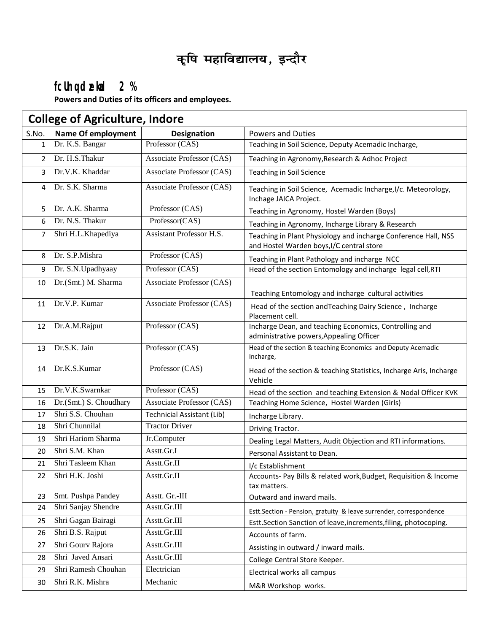# **कृषि महाविद्यालय, इन्दौर**

## **fcUnq dzekad 2 %**

**Powers and Duties of its officers and employees.**

| <b>College of Agriculture, Indore</b> |                           |                                   |                                                                                                             |
|---------------------------------------|---------------------------|-----------------------------------|-------------------------------------------------------------------------------------------------------------|
| S.No.                                 | <b>Name Of employment</b> | <b>Designation</b>                | <b>Powers and Duties</b>                                                                                    |
| $\mathbf{1}$                          | Dr. K.S. Bangar           | Professor (CAS)                   | Teaching in Soil Science, Deputy Acemadic Incharge,                                                         |
| $\overline{2}$                        | Dr. H.S.Thakur            | Associate Professor (CAS)         | Teaching in Agronomy, Research & Adhoc Project                                                              |
| 3                                     | Dr.V.K. Khaddar           | Associate Professor (CAS)         | Teaching in Soil Science                                                                                    |
| 4                                     | Dr. S.K. Sharma           | Associate Professor (CAS)         | Teaching in Soil Science, Acemadic Incharge, I/c. Meteorology,<br>Inchage JAICA Project.                    |
| 5                                     | Dr. A.K. Sharma           | Professor (CAS)                   | Teaching in Agronomy, Hostel Warden (Boys)                                                                  |
| 6                                     | Dr. N.S. Thakur           | Professor(CAS)                    | Teaching in Agronomy, Incharge Library & Research                                                           |
| 7                                     | Shri H.L.Khapediya        | Assistant Professor H.S.          | Teaching in Plant Physiology and incharge Conference Hall, NSS<br>and Hostel Warden boys, I/C central store |
| 8                                     | Dr. S.P.Mishra            | Professor (CAS)                   | Teaching in Plant Pathology and incharge NCC                                                                |
| 9                                     | Dr. S.N.Upadhyaay         | Professor (CAS)                   | Head of the section Entomology and incharge legal cell, RTI                                                 |
| 10                                    | Dr.(Smt.) M. Sharma       | <b>Associate Professor (CAS)</b>  | Teaching Entomology and incharge cultural activities                                                        |
| 11                                    | Dr.V.P. Kumar             | Associate Professor (CAS)         | Head of the section and Teaching Dairy Science, Incharge<br>Placement cell.                                 |
| 12                                    | Dr.A.M.Rajput             | Professor (CAS)                   | Incharge Dean, and teaching Economics, Controlling and<br>administrative powers, Appealing Officer          |
| 13                                    | Dr.S.K. Jain              | Professor (CAS)                   | Head of the section & teaching Economics and Deputy Acemadic<br>Incharge,                                   |
| 14                                    | Dr.K.S.Kumar              | Professor (CAS)                   | Head of the section & teaching Statistics, Incharge Aris, Incharge<br>Vehicle                               |
| 15                                    | Dr.V.K.Swarnkar           | Professor (CAS)                   | Head of the section and teaching Extension & Nodal Officer KVK                                              |
| 16                                    | Dr.(Smt.) S. Choudhary    | Associate Professor (CAS)         | Teaching Home Science, Hostel Warden (Girls)                                                                |
| 17                                    | Shri S.S. Chouhan         | <b>Technicial Assistant (Lib)</b> | Incharge Library.                                                                                           |
| 18                                    | Shri Chunnilal            | <b>Tractor Driver</b>             | Driving Tractor.                                                                                            |
| 19                                    | Shri Hariom Sharma        | Jr.Computer                       | Dealing Legal Matters, Audit Objection and RTI informations.                                                |
| 20                                    | Shri S.M. Khan            | Asstt.Gr.I                        | Personal Assistant to Dean.                                                                                 |
| 21                                    | Shri Tasleem Khan         | Asstt.Gr.II                       | I/c Establishment                                                                                           |
| 22                                    | Shri H.K. Joshi           | Asstt.Gr.II                       | Accounts- Pay Bills & related work, Budget, Requisition & Income<br>tax matters.                            |
| 23                                    | Smt. Pushpa Pandey        | Asstt. Gr.-III                    | Outward and inward mails.                                                                                   |
| 24                                    | Shri Sanjay Shendre       | Asstt.Gr.III                      | Estt.Section - Pension, gratuity & leave surrender, correspondence                                          |
| 25                                    | Shri Gagan Bairagi        | Asstt.Gr.III                      | Estt.Section Sanction of leave, increments, filing, photocoping.                                            |
| 26                                    | Shri B.S. Rajput          | Asstt.Gr.III                      | Accounts of farm.                                                                                           |
| 27                                    | Shri Gourv Rajora         | Asstt.Gr.III                      | Assisting in outward / inward mails.                                                                        |
| 28                                    | Shri Javed Ansari         | Asstt.Gr.III                      | College Central Store Keeper.                                                                               |
| 29                                    | Shri Ramesh Chouhan       | Electrician                       | Electrical works all campus                                                                                 |
| 30                                    | Shri R.K. Mishra          | Mechanic                          | M&R Workshop works.                                                                                         |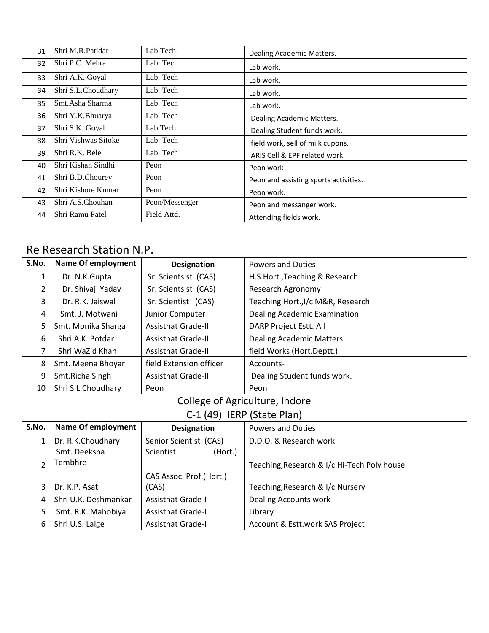| 31 | Shri M.R.Patidar    | Lab.Tech.      | Dealing Academic Matters.             |  |
|----|---------------------|----------------|---------------------------------------|--|
| 32 | Shri P.C. Mehra     | Lab. Tech      | Lab work.                             |  |
| 33 | Shri A.K. Goyal     | Lab. Tech      | Lab work.                             |  |
| 34 | Shri S.L.Choudhary  | Lab. Tech      | Lab work.                             |  |
| 35 | Smt.Asha Sharma     | Lab. Tech      | Lab work.                             |  |
| 36 | Shri Y.K.Bhuarya    | Lab. Tech      | Dealing Academic Matters.             |  |
| 37 | Shri S.K. Goyal     | Lab Tech.      | Dealing Student funds work.           |  |
| 38 | Shri Vishwas Sitoke | Lab. Tech      | field work, sell of milk cupons.      |  |
| 39 | Shri R.K. Bele      | Lab. Tech      | ARIS Cell & EPF related work.         |  |
| 40 | Shri Kishan Sindhi  | Peon           | Peon work                             |  |
| 41 | Shri B.D.Chourey    | Peon           | Peon and assisting sports activities. |  |
| 42 | Shri Kishore Kumar  | Peon           | Peon work.                            |  |
| 43 | Shri A.S.Chouhan    | Peon/Messenger | Peon and messanger work.              |  |
| 44 | Shri Ramu Patel     | Field Attd.    | Attending fields work.                |  |

# Re Research Station N.P.

| S.No. | <b>Name Of employment</b> | <b>Designation</b>        | <b>Powers and Duties</b>          |  |
|-------|---------------------------|---------------------------|-----------------------------------|--|
|       | Dr. N.K.Gupta             | Sr. Scientsist (CAS)      | H.S.Hort., Teaching & Research    |  |
|       | Dr. Shivaji Yadav         | Sr. Scientsist (CAS)      | Research Agronomy                 |  |
| 3     | Dr. R.K. Jaiswal          | Sr. Scientist (CAS)       | Teaching Hort., I/c M&R, Research |  |
| 4     | Smt. J. Motwani           | Junior Computer           | Dealing Academic Examination      |  |
| 5     | Smt. Monika Sharga        | <b>Assistnat Grade-II</b> | DARP Project Estt. All            |  |
| 6     | Shri A.K. Potdar          | <b>Assistnat Grade-II</b> | Dealing Academic Matters.         |  |
|       | Shri WaZid Khan           | <b>Assistnat Grade-II</b> | field Works (Hort.Deptt.)         |  |
| 8     | Smt. Meena Bhoyar         | field Extension officer   | Accounts-                         |  |
| 9     | Smt.Richa Singh           | <b>Assistnat Grade-II</b> | Dealing Student funds work.       |  |
| 10    | Shri S.L.Choudhary        | Peon                      | Peon                              |  |

## College of Agriculture, Indore

C-1 (49) IERP (State Plan)

| S.No. | <b>Name Of employment</b> | <b>Designation</b>       | <b>Powers and Duties</b>                    |
|-------|---------------------------|--------------------------|---------------------------------------------|
|       | Dr. R.K.Choudhary         | Senior Scientist (CAS)   | D.D.O. & Research work                      |
|       | Smt. Deeksha              | Scientist<br>(Hort.)     |                                             |
| ำ     | Tembhre                   |                          | Teaching, Research & I/c Hi-Tech Poly house |
|       |                           | CAS Assoc. Prof. (Hort.) |                                             |
| 3     | Dr. K.P. Asati            | (CAS)                    | Teaching, Research & I/c Nursery            |
| 4     | Shri U.K. Deshmankar      | Assistnat Grade-I        | Dealing Accounts work-                      |
|       | Smt. R.K. Mahobiya        | Assistnat Grade-I        | Library                                     |
| 6     | Shri U.S. Lalge           | Assistnat Grade-I        | Account & Estt.work SAS Project             |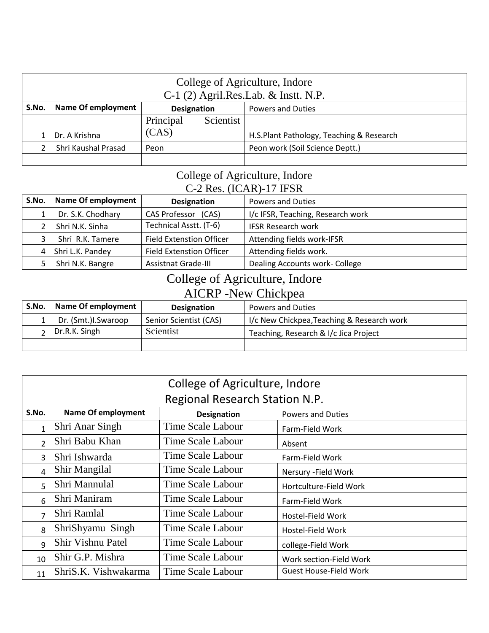|       | College of Agriculture, Indore<br>$C-1$ (2) Agril.Res.Lab. & Instt. N.P.    |                                         |  |  |  |
|-------|-----------------------------------------------------------------------------|-----------------------------------------|--|--|--|
| S.No. | <b>Name Of employment</b><br><b>Powers and Duties</b><br><b>Designation</b> |                                         |  |  |  |
|       |                                                                             | Principal<br>Scientist                  |  |  |  |
|       | (CAS)<br>H.S.Plant Pathology, Teaching & Research<br>Dr. A Krishna          |                                         |  |  |  |
|       | Shri Kaushal Prasad                                                         | Peon work (Soil Science Deptt.)<br>Peon |  |  |  |
|       |                                                                             |                                         |  |  |  |

#### College of Agriculture, Indore C-2 Res. (ICAR)-17 IFSR

| S.No. | Name Of employment | <b>Designation</b>              | <b>Powers and Duties</b>          |  |
|-------|--------------------|---------------------------------|-----------------------------------|--|
|       | Dr. S.K. Chodhary  | CAS Professor (CAS)             | I/c IFSR, Teaching, Research work |  |
|       | Shri N.K. Sinha    | Technical Asstt. (T-6)          | <b>IFSR Research work</b>         |  |
|       | Shri R.K. Tamere   | <b>Field Extenstion Officer</b> | Attending fields work-IFSR        |  |
| 4     | Shri L.K. Pandey   | <b>Field Extenstion Officer</b> | Attending fields work.            |  |
|       | Shri N.K. Bangre   | <b>Assistnat Grade-III</b>      | Dealing Accounts work- College    |  |

## College of Agriculture, Indore AICRP -New Chickpea

| S.No. | Name Of employment    | <b>Designation</b>     | <b>Powers and Duties</b>                   |  |  |
|-------|-----------------------|------------------------|--------------------------------------------|--|--|
|       | Dr. (Smt.)I.Swaroop   | Senior Scientist (CAS) | I/c New Chickpea, Teaching & Research work |  |  |
|       | $\vert$ Dr.R.K. Singh | Scientist              | Teaching, Research & I/c Jica Project      |  |  |
|       |                       |                        |                                            |  |  |

|                                             | College of Agriculture, Indore |                                |                               |  |  |
|---------------------------------------------|--------------------------------|--------------------------------|-------------------------------|--|--|
|                                             |                                | Regional Research Station N.P. |                               |  |  |
| S.No.                                       | <b>Name Of employment</b>      | <b>Designation</b>             | <b>Powers and Duties</b>      |  |  |
| $\mathbf{1}$                                | Shri Anar Singh                | Time Scale Labour              | Farm-Field Work               |  |  |
| $\overline{2}$                              | Shri Babu Khan                 | Time Scale Labour              | Absent                        |  |  |
| 3                                           | Shri Ishwarda                  | Time Scale Labour              | Farm-Field Work               |  |  |
| 4                                           | <b>Shir Mangilal</b>           | Time Scale Labour              | Nersury - Field Work          |  |  |
| 5                                           | Shri Mannulal                  | Time Scale Labour              | Hortculture-Field Work        |  |  |
| 6                                           | Shri Maniram                   | Time Scale Labour              | Farm-Field Work               |  |  |
| 7                                           | Shri Ramlal                    | Time Scale Labour              | Hostel-Field Work             |  |  |
| 8                                           | ShriShyamu Singh               | Time Scale Labour              | Hostel-Field Work             |  |  |
| Shir Vishnu Patel<br>Time Scale Labour<br>9 |                                |                                | college-Field Work            |  |  |
| 10                                          | Shir G.P. Mishra               | Time Scale Labour              | Work section-Field Work       |  |  |
| 11                                          | ShriS.K. Vishwakarma           | <b>Time Scale Labour</b>       | <b>Guest House-Field Work</b> |  |  |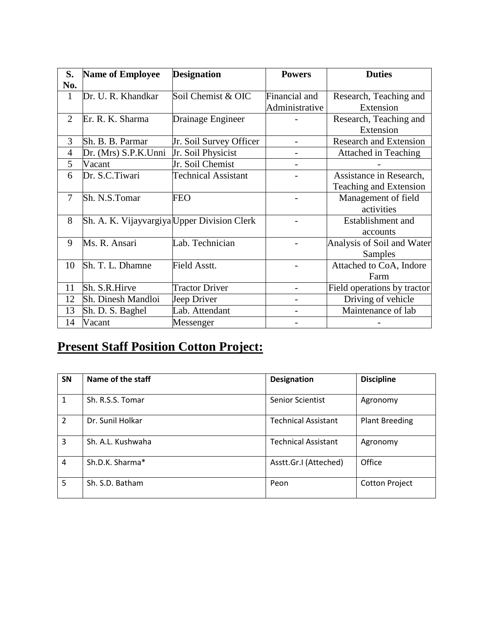| S.             | <b>Name of Employee</b>                     | <b>Designation</b>         | <b>Powers</b>  | <b>Duties</b>                 |
|----------------|---------------------------------------------|----------------------------|----------------|-------------------------------|
| No.            |                                             |                            |                |                               |
| $\mathbf{1}$   | Dr. U. R. Khandkar                          | Soil Chemist & OIC         | Financial and  | Research, Teaching and        |
|                |                                             |                            | Administrative | Extension                     |
| $\overline{2}$ | Er. R. K. Sharma                            | Drainage Engineer          |                | Research, Teaching and        |
|                |                                             |                            |                | Extension                     |
| 3              | Sh. B. B. Parmar                            | Jr. Soil Survey Officer    |                | <b>Research and Extension</b> |
| 4              | Dr. (Mrs) S.P.K.Unni                        | Jr. Soil Physicist         |                | <b>Attached in Teaching</b>   |
| 5              | Vacant                                      | Jr. Soil Chemist           |                |                               |
| 6              | Dr. S.C.Tiwari                              | <b>Technical Assistant</b> |                | Assistance in Research,       |
|                |                                             |                            |                | Teaching and Extension        |
| 7              | Sh. N.S.Tomar                               | <b>FEO</b>                 |                | Management of field           |
|                |                                             |                            |                | activities                    |
| 8              | Sh. A. K. Vijayvargiya Upper Division Clerk |                            |                | Establishment and             |
|                |                                             |                            |                | accounts                      |
| 9              | Ms. R. Ansari                               | Lab. Technician            |                | Analysis of Soil and Water    |
|                |                                             |                            |                | Samples                       |
| 10             | Sh. T. L. Dhamne                            | Field Asstt.               |                | Attached to CoA, Indore       |
|                |                                             |                            |                | Farm                          |
| 11             | Sh. S.R.Hirve                               | <b>Tractor Driver</b>      |                | Field operations by tractor   |
| 12             | Sh. Dinesh Mandloi                          | Jeep Driver                |                | Driving of vehicle            |
| 13             | Sh. D. S. Baghel                            | Lab. Attendant             |                | Maintenance of lab            |
| 14             | Vacant                                      | Messenger                  |                |                               |

# **Present Staff Position Cotton Project:**

| <b>SN</b>      | Name of the staff | <b>Designation</b>         | <b>Discipline</b>     |
|----------------|-------------------|----------------------------|-----------------------|
| $\mathbf{1}$   | Sh. R.S.S. Tomar  | <b>Senior Scientist</b>    | Agronomy              |
| $\overline{2}$ | Dr. Sunil Holkar  | <b>Technical Assistant</b> | <b>Plant Breeding</b> |
| 3              | Sh. A.L. Kushwaha | <b>Technical Assistant</b> | Agronomy              |
| $\overline{4}$ | Sh.D.K. Sharma*   | Asstt.Gr.I (Atteched)      | Office                |
| 5              | Sh. S.D. Batham   | Peon                       | <b>Cotton Project</b> |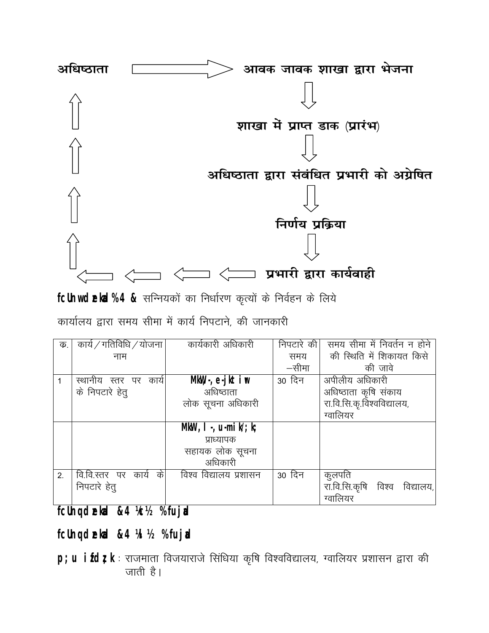

fcUnw deka% 4 & सन्नियकों का निर्धारण कृत्यों के निर्वहन के लिये

कार्यालय द्वारा समय सीमा में कार्य निपटाने, की जानकारी

| क. | कार्य / गतिविधि / योजना  | कार्यकारी अधिकारी           | निपटारे की। | समय सीमा में निवर्तन न होने   |
|----|--------------------------|-----------------------------|-------------|-------------------------------|
|    | नाम                      |                             | समय         | की स्थिति में शिकायत किसे     |
|    |                          |                             | —सीमा       | की जावे                       |
|    | स्थानीय स्तर पर काये     | $MkW, -, e-jk\overline{ir}$ | 30 दिन      | अपीलीय अधिकारी                |
|    | के निपटारे हेतू          | अधिष्ठाता                   |             | अधिष्ठाता कृषि संकाय          |
|    |                          | लोक सूचना अधिकारी           |             | रा.वि.सि.कृ.विश्वविद्यालय,    |
|    |                          |                             |             | ग्वालियर                      |
|    |                          | MkW, I., $u$ -mik/; k;      |             |                               |
|    |                          | प्राध्यापक                  |             |                               |
|    |                          | सहायक लोक सूचना             |             |                               |
|    |                          | अधिकारी                     |             |                               |
| 2. | के<br>वि.वि.स्तर पर काये | विश्व विद्यालय प्रशासन      | 30 दिन      | कुलपति                        |
|    | निपटारे हेतु             |                             |             | रा.वि.सि.कृषि विश्व विद्यालय, |
|    |                          |                             |             | ग्वालियर                      |

**fcUnq dzekad &4 ¼c½ % fujad**

**fcUnq dzekad &4 ¼l½ % fujad**

p; u ifdt; k : राजमाता विजयाराजे सिंधिया कृषि विश्वविद्यालय, ग्वालियर प्रशासन द्वारा की जाती है।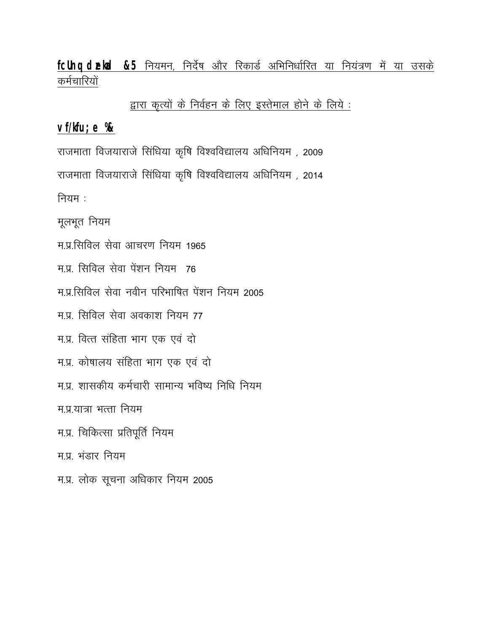## fcUnq dekka &5 नियमन, निर्देष और रिकार्ड अभिनिर्धारित या नियंत्रण में या उसके कर्मचारियों

द्वारा कृत्यों के निर्वहन के लिए इस्तेमाल होने के लिये :

#### **vf/kfu;e %&**

राजमाता विजयाराजे सिंधिया कृषि विश्वविद्यालय अधिनियम, 2009 राजमाता विजयाराजे सिंधिया कृषि विश्वविद्यालय अधिनियम, 2014 नियम $:$ 

मूलभूत नियम

म.प्र.सिविल सेवा आचरण नियम 1965

म.प्र. सिविल सेवा पेंशन नियम 76

<u>म.प्र.सिविल सेवा नवीन परिभाषित पेंशन नियम 2005</u>

म.प्र. सिविल सेवा अवकाश नियम 77

म.प्र. वित्त संहिता भाग एक एवं दो

म.प्र. कोषालय संहिता भाग एक एवं दो

म.प्र. शासकीय कर्मचारी सामान्य भविष्य निधि नियम

म.प्र.यात्रा भत्ता नियम

म.प्र. चिकित्सा प्रतिपूर्ति नियम

म प्र $i$ संडार नियम

म.प्र. लोक सूचना अधिकार नियम 2005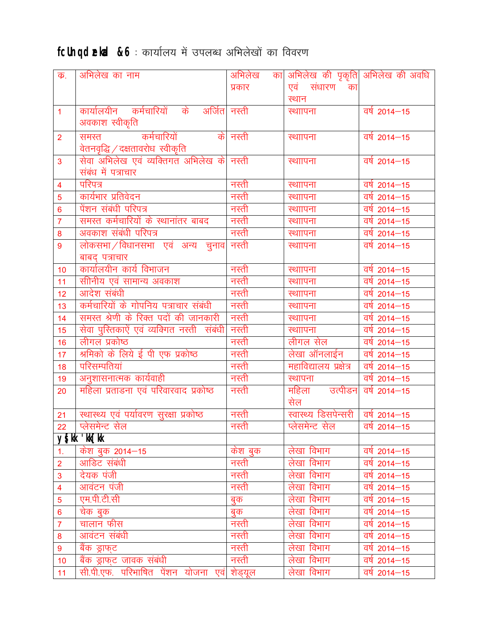# fcUnq dekd &6: कार्यालय में उपलब्ध अभिलेखों का विवरण

| क.                      | अभिलेख का नाम                             | अभिलेख   | का अभिलेख की पृकृति अभिलेख की अवधि  |                         |
|-------------------------|-------------------------------------------|----------|-------------------------------------|-------------------------|
|                         |                                           | प्रकार   | एवं संधारण का                       |                         |
|                         |                                           |          | स्थान                               |                         |
| $\overline{1}$          | कार्यालयीन कर्मचारियों के अर्जितनस्ती     |          | स्थाापना                            | $\overline{qq}$ 2014-15 |
|                         | अवकाश स्वीकृति                            |          |                                     |                         |
| $\overline{2}$          | कर्मचारियों<br>समस्त                      | के नस्ती | स्थाापना                            | वर्ष 2014–15            |
|                         | वेतनवृद्धि / दक्षतावरोध  स्वीकृति         |          |                                     |                         |
| $\overline{3}$          | सेवा अभिलेख एवं व्यक्तिगत अभिलेख के नस्ती |          | स्थाापना                            | वर्ष 2014–15            |
|                         | संबंध में पत्राचार                        |          |                                     |                         |
| $\overline{4}$          | परिपत्र                                   | नरती     | स्थाापना                            | वर्ष 2014–15            |
| 5                       | कार्यभार प्रतिवेदन                        | नस्ती    | स्थाापना                            | वर्ष 2014–15            |
| $6\phantom{a}$          | पेंशन संबंधी परिपत्र                      | नस्ती    | स्थाापना                            | वर्ष 2014–15            |
| $\overline{7}$          | समस्त कर्मचारियों के स्थानांतर बाबद       | नस्ती    | स्थाापना                            | वर्ष 2014–15            |
| 8                       | अवकाश संबंधी परिपत्र                      | नस्ती    | स्थाापना                            | वर्ष 2014–15            |
| 9                       | लोकसभा / विधानसभा एवं अन्य चुनाव          | नरती     | स्थाापना                            | वर्ष 2014-15            |
|                         | बाबद् पत्राचार                            |          |                                     |                         |
| 10                      | कार्यालयीन कार्य विभाजन                   | नस्ती    | स्थाापना                            | वर्ष 2014–15            |
| 11                      | सीनिय एवं सामान्य अवकाश                   | नरती     | स्थाापना                            | वर्षे 2014–15           |
| 12                      | आदेश संबंधी                               | नस्ती    | स्थाापना                            | वर्ष 2014-15            |
| 13                      | कर्मचारियों के गोपनिय पत्राचार संबंधी     | नस्ती    | स्थाापना                            | वर्ष 2014–15            |
| 14                      | समस्त श्रेणी के रिक्त पदों की जानकारी     | नस्ती    | स्थाापना                            | वर्ष 2014–15            |
| 15                      | सेवा पुरितकाऐं एवं व्यक्गित नस्ती संबंधी  | नरती     | स्थाापना                            | वर्ष 2014–15            |
| 16                      | लीगल प्रकोष्ठ                             | नस्ती    | लीगल सेल                            | वर्ष 2014–15            |
| 17                      | श्रमिको के लिये ई पी एफ प्रकोष्ठ          | नस्ती    | लेखा ऑनलाईन                         | वर्ष 2014–15            |
| 18                      | परिसम्पतियां                              | नस्ती    | महाविद्यालय प्रक्षेत्र              | वर्ष 2014–15            |
| 19                      | अनुशासनात्मक कार्यवाही                    | नस्ती    | स्थापना                             | वर्ष 2014–15            |
| 20                      | महिला प्रताडना एवं परिवारवाद प्रकोष्ठ     | नस्ती    | महिला उत्पीडन                       | $\overline{qq}$ 2014-15 |
|                         |                                           |          | सेल                                 |                         |
| 21                      | स्थास्थ्य एवं पर्यावरण सूरक्षा प्रकोष्ठ   | नस्ती    | स्वास्थ्य डिसपेन्सरी   वर्ष 2014–15 |                         |
| 22                      | प्लेसमेन्ट सेल                            | नस्ती    | प्लेसमेन्ट सेल   वर्ष 2014–15       |                         |
|                         | ys[kk 'kk[kk                              |          |                                     |                         |
| $\mathbf{1}$ .          | केश बुक 2014—15                           | केश बुक  | लेखा विभाग                          | वर्ष 2014–15            |
| $\overline{2}$          | आडिट संबंधी                               | नस्ती    | लेखा विभाग                          | वर्ष 2014–15            |
| $\mathbf{3}$            | देयक पंजी                                 | नरती     | लेखा विभाग                          | वर्ष 2014–15            |
| $\overline{\mathbf{4}}$ | आवंटन पंजी                                | नस्ती    | लेखा विभाग                          | वर्ष 2014–15            |
| $\overline{5}$          | एम.पी.टी.सी                               | बुक      | लेखा विभाग                          | वर्ष 2014–15            |
| $6\phantom{1}6$         | चेक बुक                                   | बुक      | लेखा विभाग                          | वर्षे 2014–15           |
| $\overline{7}$          | चालान फीस                                 | नस्ती    | लेखा विभाग                          | वर्ष 2014–15            |
| 8                       | आवंटन संबंधी                              | नस्ती    | लेखा विभाग                          | $\frac{1}{4}$ 2014-15   |
| $\boldsymbol{9}$        | बैंक ड्राफ्ट                              | नस्ती    | लेखा विभाग                          | वर्ष 2014–15            |
| 10                      | बैंक ड्राफुट जावक संबंधी                  | नस्ती    | लेखा विभाग                          | वर्ष 2014–15            |
| 11                      | सी.पी.एफ. परिभाषित पेंशन योजना एवं        | शेड्यूल  | लेखा विभाग                          | वर्ष 2014–15            |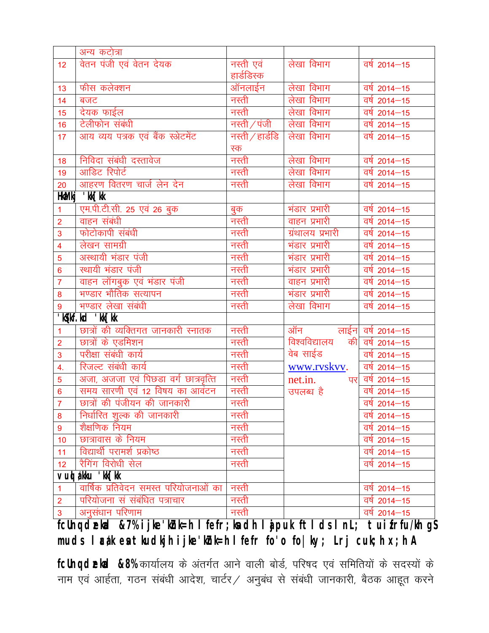|                         | अन्य कटोत्रा                          |                   |                      |                         |
|-------------------------|---------------------------------------|-------------------|----------------------|-------------------------|
| 12 <sub>2</sub>         | वेतन पंजी एवं वेतन देयक               | नस्ती एवं         | लेखा विभाग           | $\frac{1}{4}$ 2014-15   |
|                         |                                       | हार्डडिस्क        |                      |                         |
| 13                      | फीस कलेक्शन                           | ऑनलाईन            | लेखा विभाग           | वर्ष 2014–15            |
| 14                      | बजट                                   | नस्ती             | लेखा विभाग           | वर्ष 2014–15            |
| 15                      | देयक फाईल                             | नस्ती             | लेखा विभाग           | वर्ष 2014–15            |
| 16                      | टेलीफोन संबंधी                        | नस्ती $/$ पंजी    | लेखा विभाग           | $\overline{qq}$ 2014-15 |
| 17                      | आय व्यय पत्रक एवं बैंक स्केटमेंट      | नस्ती $/$ हार्डडि | लेखा विभाग           | $\overline{qq}$ 2014–15 |
|                         |                                       | स्क               |                      |                         |
| 18                      | निविदा संबंधी दस्तावेज                | नस्ती             | लेखा विभाग           | वर्ष 2014–15            |
| 19                      | आडिट रिपोर्ट                          | नस्ती             | लेखा विभाग           | वर्ष 2014–15            |
| 20                      | आहरण वितरण चार्ज लेन देन              | नस्ती             | लेखा विभाग           | वर्ष 2014–15            |
| <b>HktMkj</b>           | 'kk[kk                                |                   |                      |                         |
| 1                       | एम.पी.टी.सी. 25 एवं 26 बुक            | बुक<br>नस्ती      | भंडार प्रभारी        | वर्ष 2014–15            |
| $\overline{2}$          | वाहन संबंधी                           |                   | वाहन प्रभारी         | $\overline{qq}$ 2014-15 |
| 3                       | फोटोकापी संबंधी                       | नस्ती             | ग्रंथालय प्रभारी     | वर्ष 2014–15            |
| $\overline{\mathbf{4}}$ | लेखन सामग्री                          | नस्ती             | भंडार प्रभारी        | वर्ष 2014–15            |
| 5                       | अस्थायी भंडार पंजी                    | नस्ती             | भंडार प्रभारी        | वर्ष 2014–15            |
| $\overline{6}$          | स्थायी भंडार पंजी                     | नस्ती             | भंडार प्रभारी        | वर्ष 2014–15            |
| $\overline{7}$          | वाहन लॉगबुक एवं भंडार पंजी            | नस्ती             | वाहन प्रभारी         | वर्ष 2014–15            |
| 8                       | भण्डार भौतिक सत्यापन                  | नस्ती             | भंडार प्रभारी        | $\overline{qq}$ 2014-15 |
| 9                       | भण्डार लेखा संबंधी                    | नस्ती             | लेखा विभाग           | वर्ष 2014-15            |
|                         | 'kgkf.kd 'kk[kk                       |                   |                      |                         |
| $\mathbf 1$             | छात्रों की व्यक्तिगत जानकारी स्नातक   | नस्ती             | ऑन लाईन वर्ष 2014–15 |                         |
| $\overline{2}$          | छात्रों के एडमिशन                     | नस्ती             | विश्वविद्यालय<br>की  | वर्ष 2014–15            |
| 3                       | परीक्षा संबंधी कार्य                  | नस्ती             | वेब साईड             | $\frac{1}{4}$ 2014-15   |
| 4.                      | रिजल्ट संबंधी कार्य                   | नस्ती             | www.ryskyy.          | वर्ष 2014–15            |
| 5                       | अजा, अजजा एवं पिछड़ा वर्ग छात्रवृत्ति | नस्ती             | net.in.              | पर वर्ष 2014–15         |
| $6\phantom{a}$          | समय सारणी एवं 12 विषय का आवंटन        | नस्ती             | उपलब्ध है            | वर्ष 2014–15            |
| $\overline{7}$          | छात्रों की पंजीयन की जानकारी          | नस्ती             |                      | $\frac{1}{4}$ 2014-15   |
| 8                       | निर्धारित शुल्क की जानकारी            | नस्ती             |                      | वर्षे 2014–15           |
| 9                       | शैक्षणिक नियम                         | नस्ती             |                      | वर्ष 2014–15            |
| 10                      | छात्रावास के नियम                     | नस्ती             |                      | वर्षे 2014–15           |
| 11                      | विद्यार्थी परामर्श प्रकोष्ठ           | नस्ती             |                      | वर्ष 2014–15            |
| 12 <sub>2</sub>         | रैगिंग विरोधी सेल                     | नस्ती             |                      | $\frac{1}{4}$ 2014-15   |
| VU                      | $a$ kku 'kk $\lceil$ kk               |                   |                      |                         |
| $\mathbf{1}$            | वार्षिक प्रतिवेदन समस्त परियोजनाओं का | नस्ती             |                      | वर्ष 2014–15            |
| $\overline{2}$          | परियोजना सं संबंधित पत्राचार          | नरती              |                      | वर्ष 2014–15            |
| 3                       | अनुसंधान परिणाम                       | नस्ती             |                      | वर्ष 2014–15            |

**fcUnq dzekad &7% ijke'kZnk=h lfefr;ksa dh lajpuk ftlds lnL; tuizfrfu/kh gS**  muds lætk en tkudkjh ijke'khk=h lfefr fo'o fo|ky; Lrj cuk;h x;h A

fcUnq dekrd &8% कार्यालय के अंतर्गत आने वाली बोर्ड, परिषद एवं समितियों के सदस्यों के नाम एवं आर्हता, गठन संबंधी आदेश, चार्टर / अनुबंध से संबंधी जानकारी, बैठक आहूत करने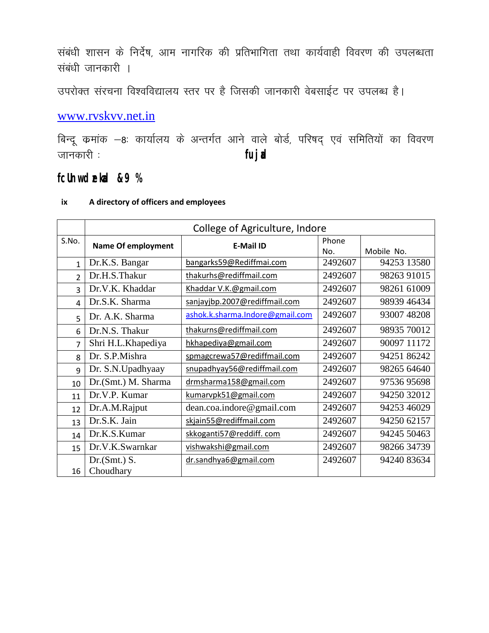संबंधी शासन के निर्देष, आम नागरिक की प्रतिभागिता तथा कार्यवाही विवरण की उपलब्धता संबंधी जानकारी ।

उपरोक्त संरचना विश्वविद्यालय स्तर पर है जिसकी जानकारी वेबसाईट पर उपलब्ध है।

### [www.rvskvv.net.in](http://www.rvskvv.net.in/)

बिन्दू कमांक –8: कार्यालय के अन्तर्गत आने वाले बोर्ड, परिषद् एवं समितियों का विवरण tkudkjh % **fujad**

**fcUnw dzekad &9 %** 

|                | College of Agriculture, Indore |                                 |              |             |
|----------------|--------------------------------|---------------------------------|--------------|-------------|
| S.No.          | <b>Name Of employment</b>      | <b>E-Mail ID</b>                | Phone<br>No. | Mobile No.  |
| $\mathbf{1}$   | Dr.K.S. Bangar                 | bangarks59@Rediffmai.com        | 2492607      | 94253 13580 |
| $\overline{2}$ | Dr.H.S.Thakur                  | thakurhs@rediffmail.com         | 2492607      | 98263 91015 |
| 3              | Dr.V.K. Khaddar                | Khaddar V.K.@gmail.com          | 2492607      | 98261 61009 |
| $\overline{a}$ | Dr.S.K. Sharma                 | sanjayjbp.2007@rediffmail.com   | 2492607      | 98939 46434 |
| 5              | Dr. A.K. Sharma                | ashok.k.sharma.Indore@gmail.com | 2492607      | 93007 48208 |
| 6              | Dr.N.S. Thakur                 | thakurns@rediffmail.com         | 2492607      | 98935 70012 |
| 7              | Shri H.L.Khapediya             | hkhapediya@gmail.com            | 2492607      | 90097 11172 |
| 8              | Dr. S.P.Mishra                 | spmagcrewa57@rediffmail.com     | 2492607      | 94251 86242 |
| 9              | Dr. S.N.Upadhyaay              | snupadhyay56@rediffmail.com     | 2492607      | 98265 64640 |
| 10             | Dr.(Smt.) M. Sharma            | drmsharma158@gmail.com          | 2492607      | 97536 95698 |
| 11             | Dr.V.P. Kumar                  | kumarvpk51@gmail.com            | 2492607      | 94250 32012 |
| 12             | Dr.A.M.Rajput                  | dean.coa.indore@gmail.com       | 2492607      | 94253 46029 |
| 13             | Dr.S.K. Jain                   | skjain55@rediffmail.com         | 2492607      | 94250 62157 |
| 14             | Dr.K.S.Kumar                   | skkoganti57@reddiff.com         | 2492607      | 94245 50463 |
| 15             | Dr.V.K.Swarnkar                | vishwakshi@gmail.com            | 2492607      | 98266 34739 |
| 16             | Dr.(Smt.) S.<br>Choudhary      | dr.sandhya6@gmail.com           | 2492607      | 94240 83634 |

#### **ix A directory of officers and employees**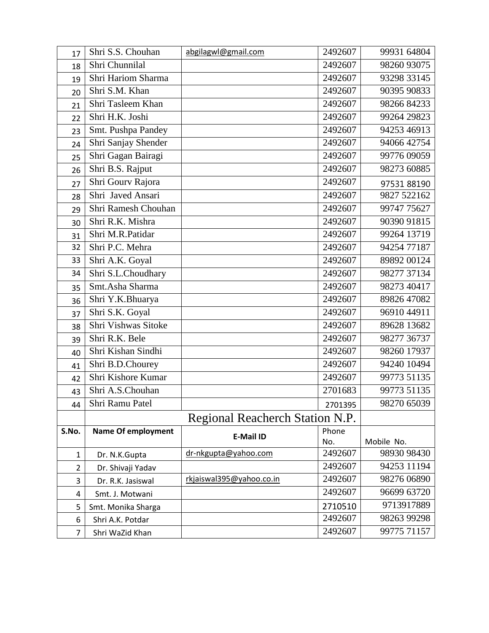| 17             | Shri S.S. Chouhan         | abgilagwl@gmail.com             | 2492607 | 99931 64804 |
|----------------|---------------------------|---------------------------------|---------|-------------|
| 18             | Shri Chunnilal            |                                 | 2492607 | 98260 93075 |
| 19             | Shri Hariom Sharma        |                                 | 2492607 | 93298 33145 |
| 20             | Shri S.M. Khan            |                                 | 2492607 | 90395 90833 |
| 21             | Shri Tasleem Khan         |                                 | 2492607 | 98266 84233 |
| 22             | Shri H.K. Joshi           |                                 | 2492607 | 99264 29823 |
| 23             | Smt. Pushpa Pandey        |                                 | 2492607 | 94253 46913 |
| 24             | Shri Sanjay Shender       |                                 | 2492607 | 94066 42754 |
| 25             | Shri Gagan Bairagi        |                                 | 2492607 | 99776 09059 |
| 26             | Shri B.S. Rajput          |                                 | 2492607 | 98273 60885 |
| 27             | Shri Gourv Rajora         |                                 | 2492607 | 97531 88190 |
| 28             | Shri Javed Ansari         |                                 | 2492607 | 9827 522162 |
| 29             | Shri Ramesh Chouhan       |                                 | 2492607 | 99747 75627 |
| 30             | Shri R.K. Mishra          |                                 | 2492607 | 90390 91815 |
| 31             | Shri M.R.Patidar          |                                 | 2492607 | 99264 13719 |
| 32             | Shri P.C. Mehra           |                                 | 2492607 | 94254 77187 |
| 33             | Shri A.K. Goyal           |                                 | 2492607 | 89892 00124 |
| 34             | Shri S.L.Choudhary        |                                 | 2492607 | 98277 37134 |
| 35             | Smt.Asha Sharma           |                                 | 2492607 | 98273 40417 |
| 36             | Shri Y.K.Bhuarya          |                                 | 2492607 | 89826 47082 |
| 37             | Shri S.K. Goyal           |                                 | 2492607 | 96910 44911 |
| 38             | Shri Vishwas Sitoke       |                                 | 2492607 | 89628 13682 |
| 39             | Shri R.K. Bele            |                                 | 2492607 | 98277 36737 |
| 40             | Shri Kishan Sindhi        |                                 | 2492607 | 98260 17937 |
| 41             | Shri B.D.Chourey          |                                 | 2492607 | 94240 10494 |
| 42             | Shri Kishore Kumar        |                                 | 2492607 | 99773 51135 |
| 43             | Shri A.S.Chouhan          |                                 | 2701683 | 99773 51135 |
| 44             | Shri Ramu Patel           |                                 | 2701395 | 98270 65039 |
|                |                           | Regional Reacherch Station N.P. |         |             |
| S.No.          | <b>Name Of employment</b> | E-Mail ID                       | Phone   |             |
|                |                           |                                 | No.     | Mobile No.  |
| $\mathbf{1}$   | Dr. N.K.Gupta             | dr-nkgupta@yahoo.com            | 2492607 | 98930 98430 |
| $\overline{2}$ | Dr. Shivaji Yadav         |                                 | 2492607 | 94253 11194 |
| 3              | Dr. R.K. Jasiswal         | rkjaiswal395@yahoo.co.in        | 2492607 | 98276 06890 |
| 4              | Smt. J. Motwani           |                                 | 2492607 | 96699 63720 |
| 5              | Smt. Monika Sharga        |                                 | 2710510 | 9713917889  |
| 6              | Shri A.K. Potdar          |                                 | 2492607 | 98263 99298 |
| $\overline{7}$ | Shri WaZid Khan           |                                 | 2492607 | 99775 71157 |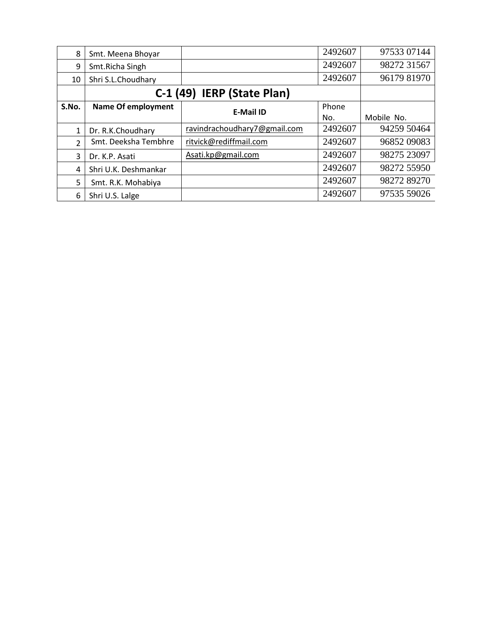| 8              | Smt. Meena Bhoyar         |                              | 2492607 | 97533 07144 |
|----------------|---------------------------|------------------------------|---------|-------------|
| 9              | Smt.Richa Singh           |                              | 2492607 | 98272 31567 |
| 10             | Shri S.L.Choudhary        |                              | 2492607 | 96179 81970 |
|                |                           | C-1 (49) IERP (State Plan)   |         |             |
| S.No.          | <b>Name Of employment</b> | <b>E-Mail ID</b>             | Phone   |             |
|                |                           |                              | No.     | Mobile No.  |
| $\mathbf{1}$   | Dr. R.K.Choudhary         | ravindrachoudhary7@gmail.com | 2492607 | 94259 50464 |
| $\overline{2}$ | Smt. Deeksha Tembhre      | ritvick@rediffmail.com       | 2492607 | 96852 09083 |
| 3              | Dr. K.P. Asati            | Asati.kp@gmail.com           | 2492607 | 98275 23097 |
| 4              | Shri U.K. Deshmankar      |                              | 2492607 | 98272 55950 |
| 5              | Smt. R.K. Mohabiya        |                              | 2492607 | 98272 89270 |
| 6              | Shri U.S. Lalge           |                              | 2492607 | 97535 59026 |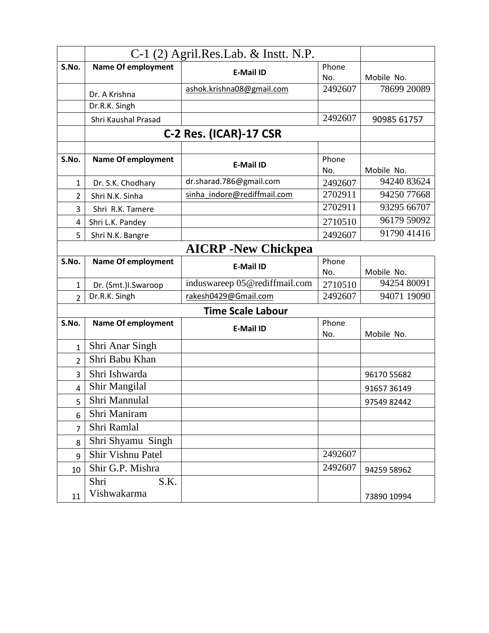|                | $C-1$ (2) Agril.Res.Lab. & Instt. N.P. |                               |              |             |
|----------------|----------------------------------------|-------------------------------|--------------|-------------|
| S.No.          | <b>Name Of employment</b>              | <b>E-Mail ID</b>              | Phone        |             |
|                |                                        |                               | No.          | Mobile No.  |
|                | Dr. A Krishna                          | ashok.krishna08@gmail.com     | 2492607      | 78699 20089 |
|                | Dr.R.K. Singh                          |                               |              |             |
|                | Shri Kaushal Prasad                    |                               | 2492607      | 90985 61757 |
|                |                                        | C-2 Res. (ICAR)-17 CSR        |              |             |
|                |                                        |                               |              |             |
| S.No.          | <b>Name Of employment</b>              | <b>E-Mail ID</b>              | Phone<br>No. | Mobile No.  |
| $\mathbf{1}$   | Dr. S.K. Chodhary                      | dr.sharad.786@gmail.com       | 2492607      | 94240 83624 |
| $\overline{2}$ | Shri N.K. Sinha                        | sinha indore@rediffmail.com   | 2702911      | 94250 77668 |
| 3              | Shri R.K. Tamere                       |                               | 2702911      | 93295 66707 |
| 4              | Shri L.K. Pandey                       |                               | 2710510      | 96179 59092 |
| 5              | Shri N.K. Bangre                       |                               | 2492607      | 91790 41416 |
|                |                                        | <b>AICRP</b> -New Chickpea    |              |             |
| S.No.          | <b>Name Of employment</b>              | <b>E-Mail ID</b>              | Phone        |             |
|                |                                        |                               | No.          | Mobile No.  |
| 1              | Dr. (Smt.)I.Swaroop                    | induswareep 05@rediffmail.com | 2710510      | 94254 80091 |
| $\overline{2}$ | Dr.R.K. Singh                          | rakesh0429@Gmail.com          | 2492607      | 94071 19090 |
|                |                                        | <b>Time Scale Labour</b>      |              |             |
| S.No.          | <b>Name Of employment</b>              | <b>E-Mail ID</b>              | Phone<br>No. | Mobile No.  |
| 1              | Shri Anar Singh                        |                               |              |             |
| $\overline{2}$ | Shri Babu Khan                         |                               |              |             |
| 3              | Shri Ishwarda                          |                               |              | 96170 55682 |
| $\overline{4}$ | Shir Mangilal                          |                               |              | 91657 36149 |
| 5              | Shri Mannulal                          |                               |              | 97549 82442 |
| 6              | Shri Maniram                           |                               |              |             |
| 7              | Shri Ramlal                            |                               |              |             |
| 8              | Shri Shyamu Singh                      |                               |              |             |
| 9              | Shir Vishnu Patel                      |                               | 2492607      |             |
| 10             | Shir G.P. Mishra                       |                               | 2492607      | 94259 58962 |
|                | Shri<br>S.K.                           |                               |              |             |
| 11             | Vishwakarma                            |                               |              | 73890 10994 |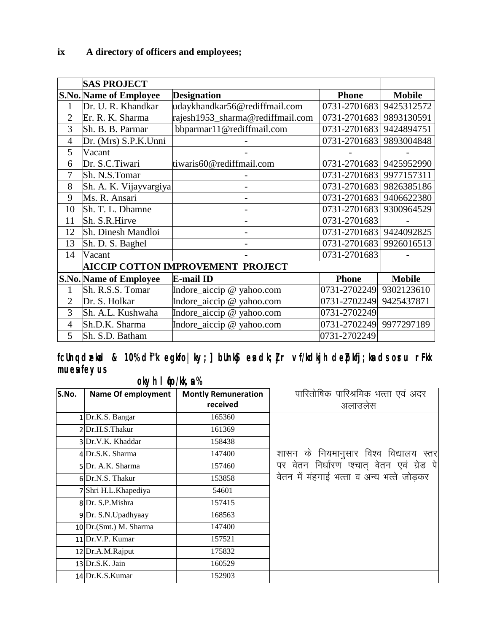|                | <b>SAS PROJECT</b>            |                                          |              |               |
|----------------|-------------------------------|------------------------------------------|--------------|---------------|
|                | <b>S.No. Name of Employee</b> | <b>Designation</b>                       | <b>Phone</b> | <b>Mobile</b> |
| 1              | Dr. U. R. Khandkar            | udaykhandkar56@rediffmail.com            | 0731-2701683 | 9425312572    |
| $\overline{2}$ | Er. R. K. Sharma              | rajesh1953_sharma@rediffmail.com         | 0731-2701683 | 9893130591    |
| 3              | Sh. B. B. Parmar              | bbparmar11@rediffmail.com                | 0731-2701683 | 9424894751    |
| $\overline{4}$ | Dr. (Mrs) S.P.K.Unni          |                                          | 0731-2701683 | 9893004848    |
| 5              | Vacant                        |                                          |              |               |
| 6              | Dr. S.C.Tiwari                | tiwaris60@rediffmail.com                 | 0731-2701683 | 9425952990    |
| 7              | Sh. N.S.Tomar                 |                                          | 0731-2701683 | 9977157311    |
| 8              | Sh. A. K. Vijayvargiya        |                                          | 0731-2701683 | 9826385186    |
| 9              | Ms. R. Ansari                 |                                          | 0731-2701683 | 9406622380    |
| 10             | Sh. T. L. Dhamne              |                                          | 0731-2701683 | 9300964529    |
| 11             | Sh. S.R.Hirve                 |                                          | 0731-2701683 |               |
| 12             | Sh. Dinesh Mandloi            |                                          | 0731-2701683 | 9424092825    |
| 13             | Sh. D. S. Baghel              |                                          | 0731-2701683 | 9926016513    |
| 14             | Vacant                        |                                          | 0731-2701683 |               |
|                |                               | <b>AICCIP COTTON IMPROVEMENT PROJECT</b> |              |               |
|                | <b>S.No. Name of Employee</b> | <b>E-mail ID</b>                         | <b>Phone</b> | <b>Mobile</b> |
| 1              | Sh. R.S.S. Tomar              | Indore_aiccip @ yahoo.com                | 0731-2702249 | 9302123610    |
| $\overline{2}$ | Dr. S. Holkar                 | Indore_aiccip @ yahoo.com                | 0731-2702249 | 9425437871    |
| 3              | Sh. A.L. Kushwaha             | Indore_aiccip @ yahoo.com                | 0731-2702249 |               |
| $\overline{4}$ | Sh.D.K. Sharma                | Indore_aiccip @ yahoo.com                | 0731-2702249 | 9977297189    |
| 5              | Sh. S.D. Batham               |                                          | 0731-2702249 |               |

fcUnq dækad & 10% d'f"k egkfo|ky; ] bUnk§ en dk; j<sub>i</sub>r vf/kdkjh de $p$ kfj; kn ds orru rFkk mues feyus

okyh I **f**o/kk, a %

| S.No. | <b>Name Of employment</b> | <b>Montly Remuneration</b> | पारितोषिक पारिश्रमिक भत्ता एवं अदर       |
|-------|---------------------------|----------------------------|------------------------------------------|
|       |                           | received                   | अलाउलेस                                  |
|       | 1 Dr.K.S. Bangar          | 165360                     |                                          |
|       | 2Dr.H.S.Thakur            | 161369                     |                                          |
|       | 3 Dr.V.K. Khaddar         | 158438                     |                                          |
|       | 4 Dr.S.K. Sharma          | 147400                     | शासन के नियमानुसार विश्व विद्यालय स्तर   |
|       | 5Dr. A.K. Sharma          | 157460                     | पर वेतन निर्धारण एचात् वेतन एवं ग्रेड पे |
|       | 6 Dr.N.S. Thakur          | 153858                     | वेतन में महगाई भत्ता व अन्य भत्ते जोडकर  |
|       | 7 Shri H.L. Khapediya     | 54601                      |                                          |
|       | 8Dr. S.P.Mishra           | 157415                     |                                          |
|       | 9Dr. S.N.Upadhyaay        | 168563                     |                                          |
|       | $10$ Dr. (Smt.) M. Sharma | 147400                     |                                          |
|       | 11 Dr.V.P. Kumar          | 157521                     |                                          |
|       | 12 Dr.A.M.Rajput          | 175832                     |                                          |
|       | $13$ Dr.S.K. Jain         | 160529                     |                                          |
|       | 14 Dr.K.S.Kumar           | 152903                     |                                          |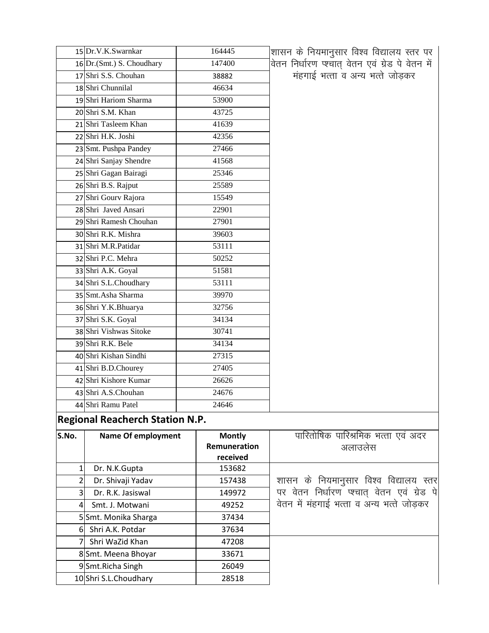| 15 Dr.V.K.Swarnkar         | 164445 | शासन के नियमानुसार विश्व विद्यालय स्तर पर         |
|----------------------------|--------|---------------------------------------------------|
| 16 Dr. (Smt.) S. Choudhary | 147400 | वेतन निर्धारण प्श्चात् वेतन एवं ग्रेड पे वेतन में |
| 17 Shri S.S. Chouhan       | 38882  | मंहगाई भत्ता व अन्य भत्ते जोड़कर                  |
| 18 Shri Chunnilal          | 46634  |                                                   |
| 19 Shri Hariom Sharma      | 53900  |                                                   |
| 20 Shri S.M. Khan          | 43725  |                                                   |
| 21 Shri Tasleem Khan       | 41639  |                                                   |
| 22 Shri H.K. Joshi         | 42356  |                                                   |
| 23 Smt. Pushpa Pandey      | 27466  |                                                   |
| 24 Shri Sanjay Shendre     | 41568  |                                                   |
| 25 Shri Gagan Bairagi      | 25346  |                                                   |
| 26 Shri B.S. Rajput        | 25589  |                                                   |
| 27 Shri Gourv Rajora       | 15549  |                                                   |
| 28 Shri Javed Ansari       | 22901  |                                                   |
| 29 Shri Ramesh Chouhan     | 27901  |                                                   |
| 30 Shri R.K. Mishra        | 39603  |                                                   |
| 31 Shri M.R.Patidar        | 53111  |                                                   |
| 32 Shri P.C. Mehra         | 50252  |                                                   |
| 33 Shri A.K. Goyal         | 51581  |                                                   |
| 34 Shri S.L.Choudhary      | 53111  |                                                   |
| 35 Smt.Asha Sharma         | 39970  |                                                   |
| 36 Shri Y.K.Bhuarya        | 32756  |                                                   |
| 37 Shri S.K. Goyal         | 34134  |                                                   |
| 38 Shri Vishwas Sitoke     | 30741  |                                                   |
| 39 Shri R.K. Bele          | 34134  |                                                   |
| 40 Shri Kishan Sindhi      | 27315  |                                                   |
| 41 Shri B.D.Chourey        | 27405  |                                                   |
| 42 Shri Kishore Kumar      | 26626  |                                                   |
| 43 Shri A.S.Chouhan        | 24676  |                                                   |
| 44 Shri Ramu Patel         | 24646  |                                                   |

## **Regional Reacherch Station N.P.**

| S.No.          | <b>Name Of employment</b> | <b>Montly</b> | पारितोषिक पारिश्रमिक भत्ता एवं अदर         |
|----------------|---------------------------|---------------|--------------------------------------------|
|                |                           | Remuneration  | अलाउलेस                                    |
|                |                           | received      |                                            |
|                | Dr. N.K.Gupta             | 153682        |                                            |
| 2              | Dr. Shivaji Yadav         | 157438        | शासन के नियमानुसार विश्व विद्यालय स्तर     |
| 31             | Dr. R.K. Jasiswal         | 149972        | पर वेतन निर्धारण प्श्चात वेतन एवं ग्रेड पे |
| 4 <sup>1</sup> | Smt. J. Motwani           | 49252         | वेतन में मंहगाई भत्ता व अन्य भत्ते जोडकर   |
|                | 5 Smt. Monika Sharga      | 37434         |                                            |
|                | 6 Shri A.K. Potdar        | 37634         |                                            |
|                | Shri WaZid Khan           | 47208         |                                            |
|                | 8Smt. Meena Bhoyar        | 33671         |                                            |
|                | 9Smt.Richa Singh          | 26049         |                                            |
|                | 10 Shri S.L.Choudhary     | 28518         |                                            |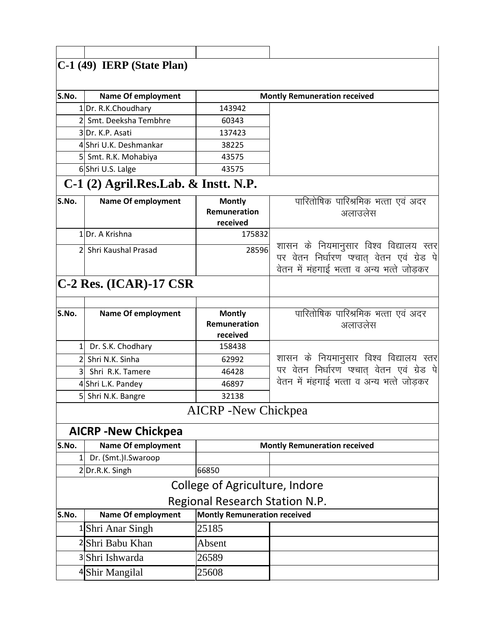|               | $ C-1(49)$ IERP (State Plan)           |                                     |                                                                                       |
|---------------|----------------------------------------|-------------------------------------|---------------------------------------------------------------------------------------|
|               |                                        |                                     |                                                                                       |
| S.No.         | <b>Name Of employment</b>              |                                     | <b>Montly Remuneration received</b>                                                   |
|               | 1 Dr. R.K.Choudhary                    | 143942                              |                                                                                       |
|               | 2 Smt. Deeksha Tembhre                 | 60343                               |                                                                                       |
|               | 3 Dr. K.P. Asati                       | 137423                              |                                                                                       |
|               | 4 Shri U.K. Deshmankar                 | 38225                               |                                                                                       |
|               | 5 Smt. R.K. Mohabiya                   | 43575                               |                                                                                       |
|               | 6Shri U.S. Lalge                       | 43575                               |                                                                                       |
|               | $C-1$ (2) Agril.Res.Lab. & Instt. N.P. |                                     |                                                                                       |
| S.No.         | <b>Name Of employment</b>              | <b>Montly</b>                       | पारितोषिक पारिश्रमिक भत्ता एवं अदर                                                    |
|               |                                        | Remuneration                        | अलाउलेस                                                                               |
|               |                                        | received                            |                                                                                       |
|               | 1Dr. A Krishna                         | 175832                              |                                                                                       |
| $\mathcal{P}$ | Shri Kaushal Prasad                    | 28596                               | शासन के नियमानुसार विश्व विद्यालय स्तर                                                |
|               |                                        |                                     | पर वेतन निर्धारण प्श्चात् वेतन एवं ग्रेड पे $\vert$                                   |
|               |                                        |                                     | वेतन में मंहगाई भत्ता व अन्य भत्ते जोडकर                                              |
|               | $ C-2$ Res. (ICAR)-17 CSR              |                                     |                                                                                       |
|               |                                        |                                     |                                                                                       |
| S.No.         | <b>Name Of employment</b>              | <b>Montly</b>                       | पारितोषिक पारिश्रमिक भत्ता एवं अदर                                                    |
|               |                                        | Remuneration                        | अलाउलेस                                                                               |
|               |                                        | received                            |                                                                                       |
|               | 1 Dr. S.K. Chodhary                    | 158438                              |                                                                                       |
|               | 2 Shri N.K. Sinha                      | 62992                               | शासन के नियमानुसार विश्व विद्यालय स्तर<br>पर वेतन निर्धारण प्श्चात् वेतन एवं ग्रेड पे |
| 3             | Shri R.K. Tamere                       | 46428                               | वेतन में महगाई भत्ता व अन्य भत्ते जोडकर                                               |
|               | 4 Shri L.K. Pandey                     | 46897                               |                                                                                       |
|               | 5 Shri N.K. Bangre                     | 32138                               |                                                                                       |
|               |                                        | <b>AICRP</b> - New Chickpea         |                                                                                       |
|               | <b>AICRP - New Chickpea</b>            |                                     |                                                                                       |
| S.No.         | <b>Name Of employment</b>              |                                     | <b>Montly Remuneration received</b>                                                   |
| $\mathbf{1}$  | Dr. (Smt.)I.Swaroop                    |                                     |                                                                                       |
|               | 2Dr.R.K. Singh                         | 66850                               |                                                                                       |
|               |                                        | College of Agriculture, Indore      |                                                                                       |
|               |                                        | Regional Research Station N.P.      |                                                                                       |
| S.No.         | <b>Name Of employment</b>              | <b>Montly Remuneration received</b> |                                                                                       |
|               | <sup>1</sup> Shri Anar Singh           | 25185                               |                                                                                       |
|               | 2 Shri Babu Khan                       | Absent                              |                                                                                       |
|               | 3 Shri Ishwarda                        | 26589                               |                                                                                       |
|               | 4 Shir Mangilal                        | 25608                               |                                                                                       |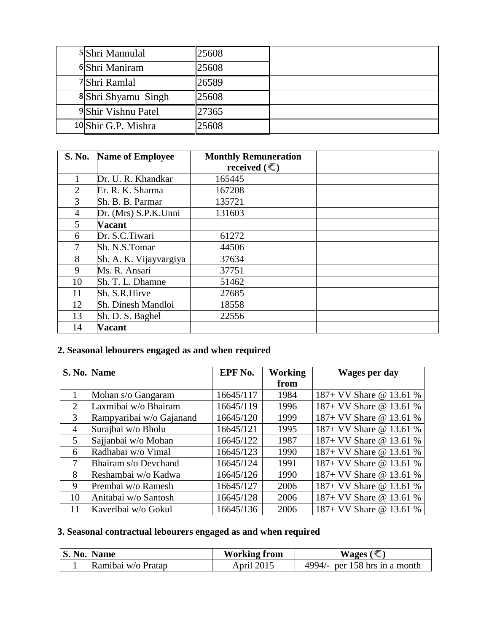| 5 Shri Mannulal     | 25608 |  |
|---------------------|-------|--|
| 6 Shri Maniram      | 25608 |  |
| 7 Shri Ramlal       | 26589 |  |
| 8 Shri Shyamu Singh | 25608 |  |
| 9 Shir Vishnu Patel | 27365 |  |
| 10 Shir G.P. Mishra | 25608 |  |

| S. No.         | <b>Name of Employee</b> | <b>Monthly Remuneration</b> |  |
|----------------|-------------------------|-----------------------------|--|
|                |                         | received $(\bar{\le})$      |  |
|                | Dr. U. R. Khandkar      | 165445                      |  |
| 2              | Er. R. K. Sharma        | 167208                      |  |
| 3              | Sh. B. B. Parmar        | 135721                      |  |
| $\overline{4}$ | Dr. (Mrs) S.P.K.Unni    | 131603                      |  |
| 5              | <b>Vacant</b>           |                             |  |
| 6              | Dr. S.C.Tiwari          | 61272                       |  |
|                | Sh. N.S.Tomar           | 44506                       |  |
| 8              | Sh. A. K. Vijayvargiya  | 37634                       |  |
| 9              | Ms. R. Ansari           | 37751                       |  |
| 10             | Sh. T. L. Dhamne        | 51462                       |  |
| 11             | Sh. S.R.Hirve           | 27685                       |  |
| 12             | Sh. Dinesh Mandloi      | 18558                       |  |
| 13             | Sh. D. S. Baghel        | 22556                       |  |
| 14             | <b>Vacant</b>           |                             |  |

## **2. Seasonal lebourers engaged as and when required**

|                             | S. No. Name              | EPF No.   | <b>Working</b> | <b>Wages per day</b>    |
|-----------------------------|--------------------------|-----------|----------------|-------------------------|
|                             |                          |           | from           |                         |
|                             | Mohan s/o Gangaram       | 16645/117 | 1984           | 187+ VV Share @ 13.61 % |
| $\mathcal{D}_{\mathcal{L}}$ | Laxmibai w/o Bhairam     | 16645/119 | 1996           | 187+ VV Share @ 13.61 % |
| 3                           | Rampyaribai w/o Gajanand | 16645/120 | 1999           | 187+ VV Share @ 13.61 % |
| $\overline{4}$              | Surajbai w/o Bholu       | 16645/121 | 1995           | 187+ VV Share @ 13.61 % |
| 5                           | Sajjanbai w/o Mohan      | 16645/122 | 1987           | 187+ VV Share @ 13.61 % |
| 6                           | Radhabai w/o Vimal       | 16645/123 | 1990           | 187+ VV Share @ 13.61 % |
| 7                           | Bhairam s/o Devchand     | 16645/124 | 1991           | 187+ VV Share @ 13.61 % |
| 8                           | Reshambai w/o Kadwa      | 16645/126 | 1990           | 187+ VV Share @ 13.61 % |
| 9                           | Prembai w/o Ramesh       | 16645/127 | 2006           | 187+ VV Share @ 13.61 % |
| 10                          | Anitabai w/o Santosh     | 16645/128 | 2006           | 187+ VV Share @ 13.61 % |
| 11                          | Kaveribai w/o Gokul      | 16645/136 | 2006           | 187+ VV Share @ 13.61 % |

#### **3. Seasonal contractual lebourers engaged as and when required**

| <b>S. No. Name</b> |                    | <b>Working from</b> | Wages ( $\bar{\mathbb{C}}$    |
|--------------------|--------------------|---------------------|-------------------------------|
|                    | Ramibai w/o Pratap | April 2015          | 4994/- per 158 hrs in a month |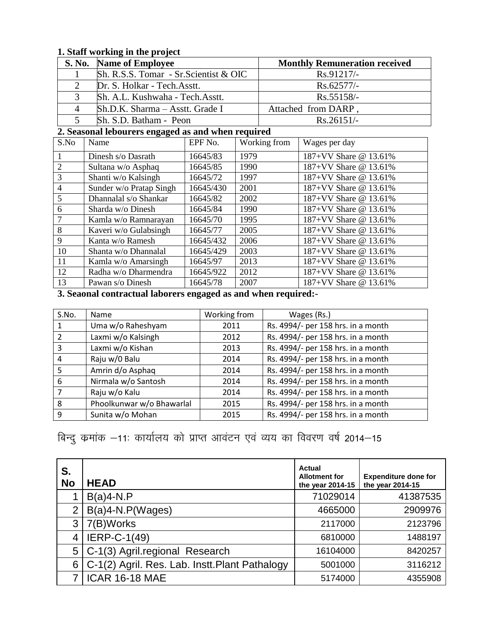#### **1. Staff working in the project**

|   | S. No. Name of Employee                 | <b>Monthly Remuneration received</b> |
|---|-----------------------------------------|--------------------------------------|
|   | $Sh. R.S.S. Tomar - Sr.Scientist & OIC$ | $Rs.91217/-$                         |
|   | Dr. S. Holkar - Tech. Asstt.            | $Rs.62577/-$                         |
|   | Sh. A.L. Kushwaha - Tech. Asstt.        | $Rs.55158/-$                         |
| 4 | Sh.D.K. Sharma – Asstt. Grade I         | Attached from DARP                   |
|   | Sh. S.D. Batham - Peon                  | $Rs.26151/-$                         |

#### **2. Seasonal lebourers engaged as and when required**

| S.No           | Name                    | EPF No.   | Working from | Wages per day         |
|----------------|-------------------------|-----------|--------------|-----------------------|
|                | Dinesh s/o Dasrath      | 16645/83  | 1979         | 187+VV Share @ 13.61% |
| $\overline{2}$ | Sultana w/o Asphaq      | 16645/85  | 1990         | 187+VV Share @ 13.61% |
| 3              | Shanti w/o Kalsingh     | 16645/72  | 1997         | 187+VV Share @ 13.61% |
| $\overline{4}$ | Sunder w/o Pratap Singh | 16645/430 | 2001         | 187+VV Share @ 13.61% |
| 5              | Dhannalal s/o Shankar   | 16645/82  | 2002         | 187+VV Share @ 13.61% |
| 6              | Sharda w/o Dinesh       | 16645/84  | 1990         | 187+VV Share @ 13.61% |
| $\overline{7}$ | Kamla w/o Ramnarayan    | 16645/70  | 1995         | 187+VV Share @ 13.61% |
| 8              | Kaveri w/o Gulabsingh   | 16645/77  | 2005         | 187+VV Share @ 13.61% |
| 9              | Kanta w/o Ramesh        | 16645/432 | 2006         | 187+VV Share @ 13.61% |
| 10             | Shanta w/o Dhannalal    | 16645/429 | 2003         | 187+VV Share @ 13.61% |
| 11             | Kamla w/o Amarsingh     | 16645/97  | 2013         | 187+VV Share @ 13.61% |
| 12             | Radha w/o Dharmendra    | 16645/922 | 2012         | 187+VV Share @ 13.61% |
| 13             | Pawan s/o Dinesh        | 16645/78  | 2007         | 187+VV Share @ 13.61% |

**3. Seaonal contractual laborers engaged as and when required:-**

| S.No. | <b>Name</b>               | Working from | Wages (Rs.)                        |
|-------|---------------------------|--------------|------------------------------------|
| 1     | Uma w/o Raheshyam         | 2011         | Rs. 4994/- per 158 hrs. in a month |
| 2     | Laxmi w/o Kalsingh        | 2012         | Rs. 4994/- per 158 hrs. in a month |
| 3     | Laxmi w/o Kishan          | 2013         | Rs. 4994/- per 158 hrs. in a month |
| 4     | Raju w/0 Balu             | 2014         | Rs. 4994/- per 158 hrs. in a month |
| 5     | Amrin d/o Asphaq          | 2014         | Rs. 4994/- per 158 hrs. in a month |
| 6     | Nirmala w/o Santosh       | 2014         | Rs. 4994/- per 158 hrs. in a month |
|       | Raju w/o Kalu             | 2014         | Rs. 4994/- per 158 hrs. in a month |
| 8     | Phoolkunwar w/o Bhawarlal | 2015         | Rs. 4994/- per 158 hrs. in a month |
| 9     | Sunita w/o Mohan          | 2015         | Rs. 4994/- per 158 hrs. in a month |

## बिन्दु कमांक –11: कार्यालय को प्राप्त आवंटन एवं व्यय का विवरण वर्ष 2014–15

| S.<br><b>No</b> | <b>HEAD</b>                                    | Actual<br><b>Allotment for</b><br>the year 2014-15 | <b>Expenditure done for</b><br>the year 2014-15 |
|-----------------|------------------------------------------------|----------------------------------------------------|-------------------------------------------------|
|                 | $B(a)4-N.P$                                    | 71029014                                           | 41387535                                        |
| 2               | $B(a)4-N.P(Wages)$                             | 4665000                                            | 2909976                                         |
| 3               | 7(B)Works                                      | 2117000                                            | 2123796                                         |
| $\overline{4}$  | <b>IERP-C-1(49)</b>                            | 6810000                                            | 1488197                                         |
| 5 <sup>1</sup>  | C-1(3) Agril.regional Research                 | 16104000                                           | 8420257                                         |
| 6               | C-1(2) Agril. Res. Lab. Instt. Plant Pathalogy | 5001000                                            | 3116212                                         |
|                 | <b>ICAR 16-18 MAE</b>                          | 5174000                                            | 4355908                                         |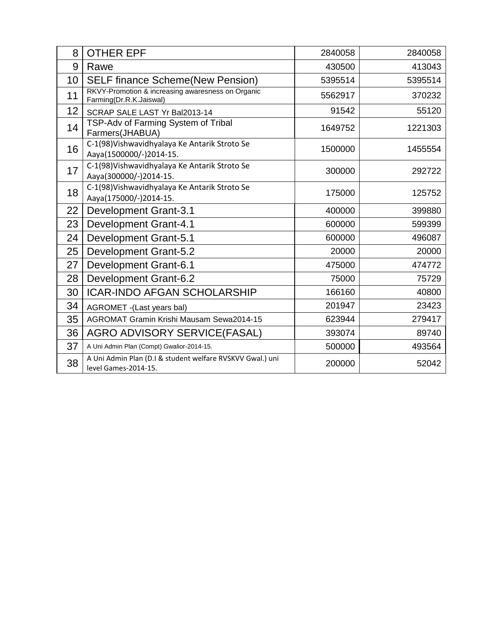| 8  | <b>OTHER EPF</b>                                                                  | 2840058 | 2840058 |
|----|-----------------------------------------------------------------------------------|---------|---------|
| 9  | Rawe                                                                              | 430500  | 413043  |
| 10 | <b>SELF finance Scheme(New Pension)</b>                                           | 5395514 | 5395514 |
| 11 | RKVY-Promotion & increasing awaresness on Organic<br>Farming(Dr.R.K.Jaiswal)      | 5562917 | 370232  |
| 12 | SCRAP SALE LAST Yr Bal2013-14                                                     | 91542   | 55120   |
| 14 | TSP-Adv of Farming System of Tribal<br>Farmers(JHABUA)                            | 1649752 | 1221303 |
| 16 | C-1(98) Vishwavidhyalaya Ke Antarik Stroto Se<br>Aaya(1500000/-)2014-15.          | 1500000 | 1455554 |
| 17 | C-1(98) Vishwavidhyalaya Ke Antarik Stroto Se<br>Aaya(300000/-)2014-15.           | 300000  | 292722  |
| 18 | C-1(98) Vishwavidhyalaya Ke Antarik Stroto Se<br>Aaya(175000/-)2014-15.           | 175000  | 125752  |
| 22 | Development Grant-3.1                                                             | 400000  | 399880  |
| 23 | <b>Development Grant-4.1</b>                                                      | 600000  | 599399  |
| 24 | Development Grant-5.1                                                             | 600000  | 496087  |
| 25 | Development Grant-5.2                                                             | 20000   | 20000   |
| 27 | Development Grant-6.1                                                             | 475000  | 474772  |
| 28 | Development Grant-6.2                                                             | 75000   | 75729   |
| 30 | <b>ICAR-INDO AFGAN SCHOLARSHIP</b>                                                | 166160  | 40800   |
| 34 | AGROMET -(Last years bal)                                                         | 201947  | 23423   |
| 35 | AGROMAT Gramin Krishi Mausam Sewa2014-15                                          | 623944  | 279417  |
| 36 | <b>AGRO ADVISORY SERVICE(FASAL)</b>                                               | 393074  | 89740   |
| 37 | A Uni Admin Plan (Compt) Gwalior-2014-15.                                         | 500000  | 493564  |
| 38 | A Uni Admin Plan (D.I & student welfare RVSKVV Gwal.) uni<br>level Games-2014-15. | 200000  | 52042   |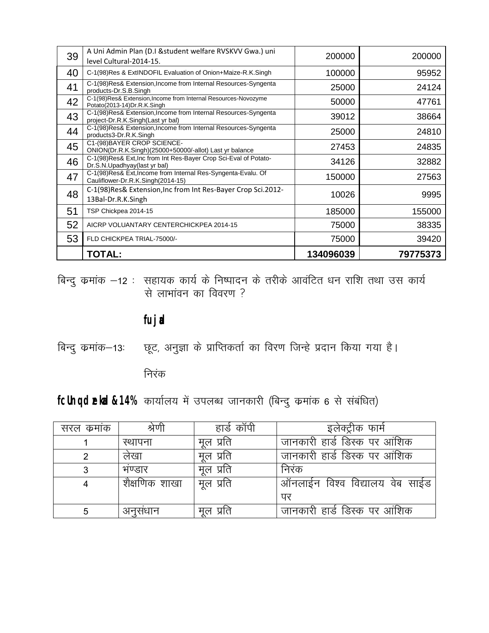| 39 | A Uni Admin Plan (D.I & student welfare RVSKVV Gwa.) uni<br>level Cultural-2014-15.                 | 200000    | 200000   |
|----|-----------------------------------------------------------------------------------------------------|-----------|----------|
| 40 | C-1(98) Res & ExtINDOFIL Evaluation of Onion+Maize-R.K.Singh                                        | 100000    | 95952    |
| 41 | C-1(98) Res& Extension, Income from Internal Resources-Syngenta<br>products-Dr.S.B.Singh            | 25000     | 24124    |
| 42 | C-1(98)Res& Extension, Income from Internal Resources-Novozyme<br>Potato(2013-14)Dr.R.K.Singh       | 50000     | 47761    |
| 43 | C-1(98)Res& Extension, Income from Internal Resources-Syngenta<br>project-Dr.R.K.Singh(Last yr bal) | 39012     | 38664    |
| 44 | C-1(98)Res& Extension, Income from Internal Resources-Syngenta<br>products3-Dr.R.K.Singh            | 25000     | 24810    |
| 45 | C1-(98) BAYER CROP SCIENCE-<br>ONION(Dr.R.K.Singh)(25000+50000/-allot) Last yr balance              | 27453     | 24835    |
| 46 | C-1(98)Res& Ext, Inc from Int Res-Bayer Crop Sci-Eval of Potato-<br>Dr.S.N.Upadhyay(last yr bal)    | 34126     | 32882    |
| 47 | C-1(98)Res& Ext, Income from Internal Res-Syngenta-Evalu. Of<br>Cauliflower-Dr.R.K.Singh(2014-15)   | 150000    | 27563    |
| 48 | C-1(98) Res& Extension, Inc from Int Res-Bayer Crop Sci.2012-<br>13Bal-Dr.R.K.Singh                 | 10026     | 9995     |
| 51 | TSP Chickpea 2014-15                                                                                | 185000    | 155000   |
| 52 | AICRP VOLUANTARY CENTERCHICKPEA 2014-15                                                             | 75000     | 38335    |
| 53 | FLD CHICKPEA TRIAL-75000/-                                                                          | 75000     | 39420    |
|    | <b>TOTAL:</b>                                                                                       | 134096039 | 79775373 |

बिन्दु कमांक —12 : सहायक कार्य के निष्पादन के तरीके आवंटित धन राशि तथा उस कार्य से लाभांवन का विवरण ?

**fujad**

बिन्दु कमांक–13: स्टूट, अनुज्ञा के प्राप्तिकर्ता का विरण जिन्हे प्रदान किया गया है।

निरंक

fcUnq dekad&14% कार्यालय में उपलब्ध जानकारी (बिन्दु कमांक 6 से संबंधित)

| सरल कमाक | श्रेणी        | हार्ड कॉपी | इलेक्ट्रीक फार्म               |
|----------|---------------|------------|--------------------------------|
|          | स्थापना       | मृल प्रति  | जानकारी हार्ड डिस्क पर आंशिक   |
|          | लेखा          | मूल प्रति  | जानकारी हार्ड डिस्क पर आंशिक   |
| 3        | भण्डार        | मूल प्रति  | निरंक                          |
|          | शैक्षणिक शाखा | मूल प्रति  | ऑनलाईन विश्व विद्यालय वेब साईड |
|          |               |            | पर                             |
| 5        | अनुसधान       | मुल प्रति  | जानकारी हार्ड डिस्क पर आंशिक   |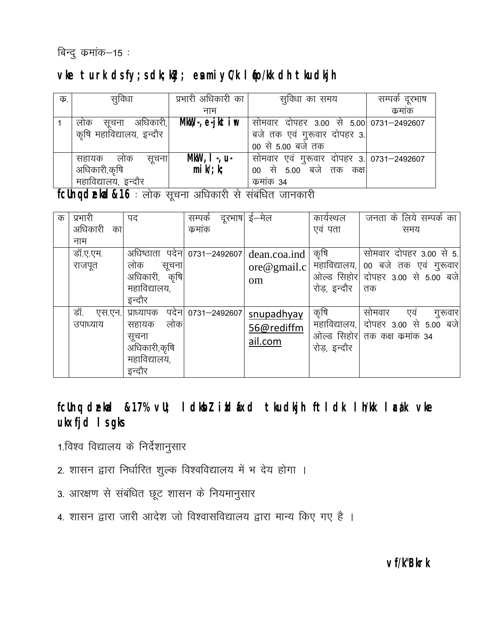## बिन्दु $\sigma$ कमांक $-$ 15 :

## vke turk ds fy; s dk; kly; en miyC/k I fo/kk dh tkudkjh

| क. | सूविधा                    | प्रभारी अधिकारी का  | सुविधा का समय                            | सम्पर्क दूरभाष |
|----|---------------------------|---------------------|------------------------------------------|----------------|
|    |                           | नाम                 |                                          | कमाक           |
|    | अधिकारी, <br>लाक<br>सुचना | $MkW, -, e-jktim$   | सोमवार दोपहर 3.00 से 5.00 0731–2492607   |                |
|    | कृषि महाविद्यालय, इन्दौर  |                     | बजे तक एवं गुरूवार दोपहर 3.              |                |
|    |                           |                     | 00 से 5.00 बजे तक                        |                |
|    | सहायक लोक<br>सुचना        | $MkW$ , I -, u-     | सोमवार एवं गुरूवार दोपहर 3. 0731–2492607 |                |
|    | अधिकारी,कृषि              | $mik^{\prime}$ ; k; | बजे तक कक्ष <br>से 5.00<br>00            |                |
|    | महाविद्यालय, इन्दौर       |                     | कमाक 34                                  |                |

fcUnq dekd&16: लोक सूचना अधिकारी से संबंधित जानकारी

| क | प्रभारी        | पद                  | सम्पर्क      | दूरभाष  ई—मेल                   | कार्यस्थल     | जनता के लिये सम्पर्क का |
|---|----------------|---------------------|--------------|---------------------------------|---------------|-------------------------|
|   | अधिकारी<br>का। |                     | कमांक        |                                 | एवं पता       | समय                     |
|   | नाम            |                     |              |                                 |               |                         |
|   | डॉ.ए.एम.       | अधिष्ठाता पदेन।     | 0731-2492607 | dean.coa.ind                    | कृषि          | सोमवार दोपहर 3.00 से 5. |
|   | राजपूत         | लोक<br>सूचना        |              | $\overline{\text{ore@gmail.c}}$ | महाविद्यालय,  | 00 बजे तक एवं गुरूवार   |
|   |                | अधिकारी,<br>कृषि    |              | om                              | ओल्ड सिहोर    | दोपहर 3.00 से 5.00 बजे  |
|   |                | महाविद्यालय,        |              |                                 | रोड़, इन्दौर  | तक                      |
|   |                | इन्दौर              |              |                                 |               |                         |
|   | डॉ.<br>एस.एन.  | पदेन।<br>प्राध्यापक | 0731-2492607 | snupadhyay                      | कृषि          | सोमवार<br>एव<br>गुरूवार |
|   | उपाध्याय       | लोक<br>सहायक        |              | 56@rediffm                      | महाविद्यालय,। | दोपहर 3.00 से 5.00 बजे  |
|   |                | सूचना               |              | ail.com                         | ओल्ड सिहोर    | तक कक्ष कमांक 34        |
|   |                | अधिकारी,कृषि        |              |                                 | रोड, इन्दौर   |                         |
|   |                | महाविद्यालय,        |              |                                 |               |                         |
|   |                | इन्दौर              |              |                                 |               |                         |

fcUnq dækad &17% vU; I dkbl i kl fxd tkudkjh ftldk lh/kk læk vke **ukxfjd ls gks** 

## 1.विश्व विद्यालय के निर्देशानुसार

- 2. शासन द्वारा निर्धारित शुल्क विश्वविद्यालय में भ देय होगा ।
- 3. आरक्षण से संबंधित छूट शासन के नियमानुसार
- 4. शासन द्वारा जारी आदेश जो विश्वासविद्यालय द्वारा मान्य किए गए है ।